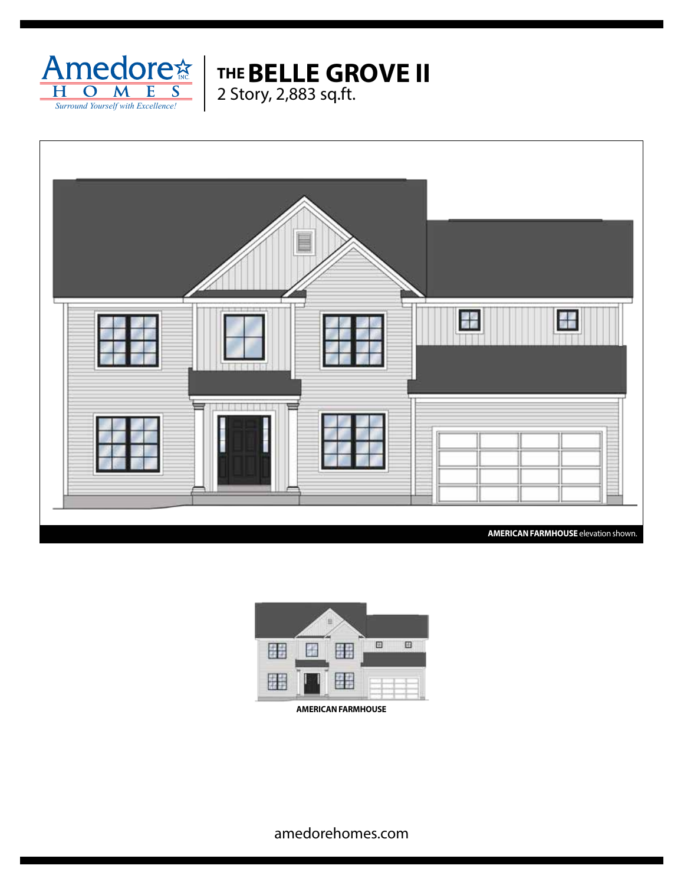



**THE BELLE GROVE II**



**AMERICAN FARMHOUSE**

amedorehomes.com